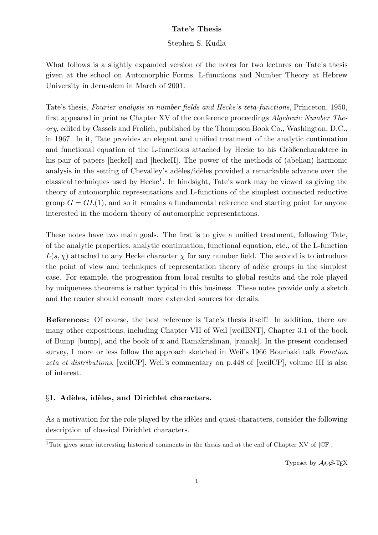# Tate's Thesis

### Stephen S. Kudla

What follows is a slightly expanded version of the notes for two lectures on Tate's thesis given at the school on Automorphic Forms, L-functions and Number Theory at Hebrew University in Jerusalem in March of 2001.

Tate's thesis, Fourier analysis in number fields and Hecke's zeta-functions, Princeton, 1950, first appeared in print as Chapter XV of the conference proceedings Algebraic Number Theory, edited by Cassels and Frolich, published by the Thompson Book Co., Washington, D.C., in 1967. In it, Tate provides an elegant and unified treatment of the analytic continuation and functional equation of the L-functions attached by Hecke to his Größencharaktere in his pair of papers [heckeI] and [heckeII]. The power of the methods of (abelian) harmonic analysis in the setting of Chevalley's adèles/idèles provided a remarkable advance over the classical techniques used by  $Hecke<sup>1</sup>$ . In hindsight, Tate's work may be viewed as giving the theory of automorphic representations and L-functions of the simplest connected reductive group  $G = GL(1)$ , and so it remains a fundamental reference and starting point for anyone interested in the modern theory of automorphic representations.

These notes have two main goals. The first is to give a unified treatment, following Tate, of the analytic properties, analytic continuation, functional equation, etc., of the L-function  $L(s, \chi)$  attached to any Hecke character  $\chi$  for any number field. The second is to introduce the point of view and techniques of representation theory of adèle groups in the simplest case. For example, the progression from local results to global results and the role played by uniqueness theorems is rather typical in this business. These notes provide only a sketch and the reader should consult more extended sources for details.

References: Of course, the best reference is Tate's thesis itself! In addition, there are many other expositions, including Chapter VII of Weil [weilBNT], Chapter 3.1 of the book of Bump [bump], and the book of x and Ramakrishnan, [ramak]. In the present condensed survey, I more or less follow the approach sketched in Weil's 1966 Bourbaki talk Fonction zeta et distributions, [weilCP]. Weil's commentary on p.448 of [weilCP], volume III is also of interest.

# $§1.$  Adèles, idèles, and Dirichlet characters.

As a motivation for the role played by the idèles and quasi-characters, consider the following description of classical Dirichlet characters.

Typeset by  $A_{\mathcal{M}}S$ -T<sub>F</sub>X

<sup>&</sup>lt;sup>1</sup>Tate gives some interesting historical comments in the thesis and at the end of Chapter XV of [CF].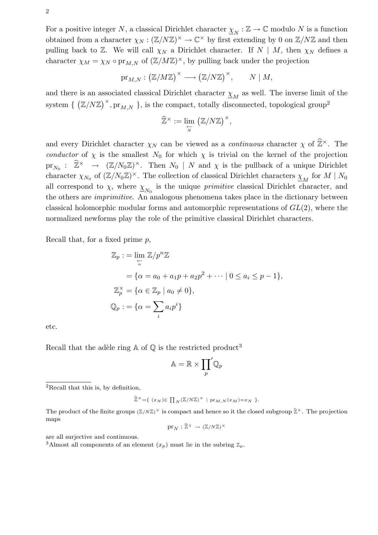For a positive integer N, a classical Dirichlet character  $\underline{\chi}_N : \mathbb{Z} \to \mathbb{C}$  modulo N is a function obtained from a character  $\chi_N : (\mathbb{Z}/N\mathbb{Z})^{\times} \to \mathbb{C}^{\times}$  by first extending by 0 on  $\mathbb{Z}/N\mathbb{Z}$  and then pulling back to  $\mathbb{Z}$ . We will call  $\chi_N$  a Dirichlet character. If  $N \mid M$ , then  $\chi_N$  defines a character  $\chi_M = \chi_N \circ \text{pr}_{M,N}$  of  $(\mathbb{Z}/M\mathbb{Z})^{\times}$ , by pulling back under the projection

$$
\mathrm{pr}_{M,N}:\big(\mathbb{Z}/M\mathbb{Z}\big)^{\times}\longrightarrow \big(\mathbb{Z}/N\mathbb{Z}\big)^{\times},\qquad N\mid M,
$$

and there is an associated classical Dirichlet character  $\underline{\chi}_M$  as well. The inverse limit of the system { ¡  $\mathbb{Z}/N\mathbb{Z}\big)^\times$ ,  $\text{pr}_{M,N}$  }, is the compact, totally disconnected, topological group<sup>2</sup>

$$
\widehat{\mathbb{Z}}^{\times} := \lim_{\substack{\leftarrow \\ N}} \left( \mathbb{Z}/N\mathbb{Z} \right)^{\times},
$$

and every Dirichlet character  $\chi_N$  can be viewed as a *continuous* character  $\chi$  of  $\widehat{\mathbb{Z}}^{\times}$ . The conductor of  $\chi$  is the smallest  $N_0$  for which  $\chi$  is trivial on the kernel of the projection  $\text{pr}_{N_0}: \quad \widehat{\mathbb{Z}}^\times \quad \to \quad (\mathbb{Z}/N_0\mathbb{Z})^\times.$  Then  $N_0 \mid N$  and  $\chi$  is the pullback of a unique Dirichlet character  $\chi_{N_0}$  of  $(\mathbb{Z}/N_0\mathbb{Z})^{\times}$ . The collection of classical Dirichlet characters  $\underline{\chi}_M$  for  $M \mid N_0$ all correspond to  $\chi$ , where  $\underline{\chi}_{N_0}$  is the unique *primitive* classical Dirichlet character, and the others are imprimitive. An analogous phenomena takes place in the dictionary between classical holomorphic modular forms and automorphic representations of  $GL(2)$ , where the normalized newforms play the role of the primitive classical Dirichlet characters.

Recall that, for a fixed prime  $p$ ,

$$
\mathbb{Z}_p := \lim_{\substack{\leftarrow \\ n}} \mathbb{Z}/p^n \mathbb{Z}
$$
  
=  $\{ \alpha = a_0 + a_1 p + a_2 p^2 + \cdots \mid 0 \le a_i \le p - 1 \},$   

$$
\mathbb{Z}_p^{\times} = \{ \alpha \in \mathbb{Z}_p \mid a_0 \neq 0 \},
$$
  

$$
\mathbb{Q}_p := \{ \alpha = \sum_i a_i p^i \}
$$

etc.

Recall that the adèle ring  $\mathbb A$  of  $\mathbb Q$  is the restricted product<sup>3</sup>

$$
\mathbb{A}=\mathbb{R}\times{\prod_p}'\mathbb{Q}_p
$$

$$
\widehat{\mathbb{Z}}^{\times} = \{ (x_N) \in \prod_N (\mathbb{Z}/N\mathbb{Z})^{\times} \mid \text{pr}_{M,N}(x_M) = x_N \}.
$$

$$
\mathrm{pr}_{N}:\widehat{\mathbb{Z}}^{\times}\,\to\,(\mathbb{Z}/N\mathbb{Z})^{\times}
$$

are all surjective and continuous.

<sup>3</sup>Almost all components of an element  $(x_p)$  must lie in the subring  $\mathbb{Z}_p$ .

<sup>2</sup>Recall that this is, by definition,

The product of the finite groups  $(\mathbb{Z}/N\mathbb{Z})^{\times}$  is compact and hence so it the closed subgroup  $\hat{\mathbb{Z}}^{\times}$ . The projection maps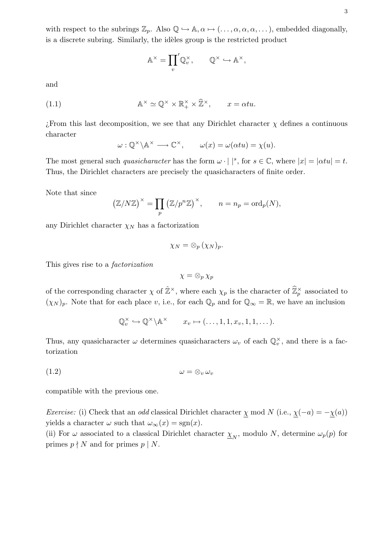with respect to the subrings  $\mathbb{Z}_p$ . Also  $\mathbb{Q} \hookrightarrow \mathbb{A}, \alpha \mapsto (\ldots, \alpha, \alpha, \alpha, \ldots)$ , embedded diagonally, is a discrete subring. Similarly, the idèles group is the restricted product

$$
\mathbb{A}^{\times} = \prod_{v} \mathbb{Q}_v^{\times}, \qquad \mathbb{Q}^{\times} \hookrightarrow \mathbb{A}^{\times},
$$

and

(1.1) 
$$
\mathbb{A}^{\times} \simeq \mathbb{Q}^{\times} \times \mathbb{R}_{+}^{\times} \times \widehat{\mathbb{Z}}^{\times}, \qquad x = \alpha tu.
$$

 $i$ From this last decomposition, we see that any Dirichlet character  $\chi$  defines a continuous character

$$
\omega: \mathbb{Q}^\times \backslash \mathbb{A}^\times \longrightarrow \mathbb{C}^\times, \qquad \omega(x) = \omega(\alpha t u) = \chi(u).
$$

The most general such quasicharacter has the form  $\omega \cdot | \cdot |^s$ , for  $s \in \mathbb{C}$ , where  $|x| = |\alpha t u| = t$ . Thus, the Dirichlet characters are precisely the quasicharacters of finite order.

Note that since

$$
(\mathbb{Z}/N\mathbb{Z})^{\times} = \prod_{p} (\mathbb{Z}/p^{n}\mathbb{Z})^{\times}, \qquad n = n_{p} = \text{ord}_{p}(N),
$$

any Dirichlet character  $\chi_N$  has a factorization

$$
\chi_N=\otimes_p(\chi_N)_p.
$$

This gives rise to a factorization

$$
\chi = \otimes_p \chi_p
$$

of the corresponding character  $\chi$  of  $\hat{\mathbb{Z}}^{\times}$ , where each  $\chi_p$  is the character of  $\hat{\mathbb{Z}}^{\times}_p$  associated to  $(\chi_N)_p$ . Note that for each place v, i.e., for each  $\mathbb{Q}_p$  and for  $\mathbb{Q}_\infty = \mathbb{R}$ , we have an inclusion

$$
\mathbb{Q}_v^{\times} \hookrightarrow \mathbb{Q}^{\times} \backslash \mathbb{A}^{\times} \qquad x_v \mapsto (\ldots, 1, 1, x_v, 1, 1, \ldots).
$$

Thus, any quasicharacter  $\omega$  determines quasicharacters  $\omega_v$  of each  $\mathbb{Q}_v^{\times}$ , and there is a factorization

$$
(1.2) \t\t \t\t \t\t \omega = \otimes_v \omega_v
$$

compatible with the previous one.

Exercise: (i) Check that an odd classical Dirichlet character  $\chi$  mod N (i.e.,  $\chi(-a) = -\chi(a)$ ) yields a character  $\omega$  such that  $\omega_{\infty}(x) = \text{sgn}(x)$ .

(ii) For  $\omega$  associated to a classical Dirichlet character  $\underline{\chi}_N$ , modulo N, determine  $\omega_p(p)$  for primes  $p \nmid N$  and for primes  $p \mid N$ .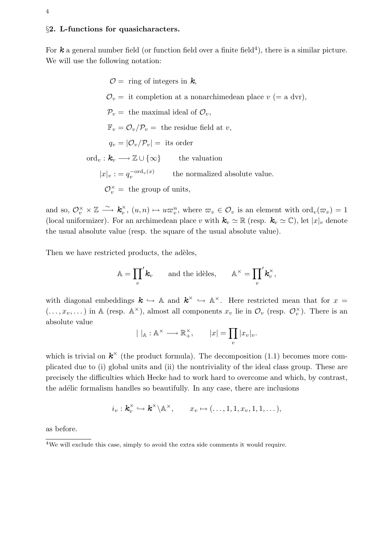### §2. L-functions for quasicharacters.

For  $k$  a general number field (or function field over a finite field<sup>4</sup>), there is a similar picture. We will use the following notation:

> $\mathcal{O} =$  ring of integers in k,  $\mathcal{O}_v =$  it completion at a nonarchimedean place  $v =$  a dvr),  $\mathcal{P}_v =$  the maximal ideal of  $\mathcal{O}_v$ ,  $\mathbb{F}_v = \mathcal{O}_v / \mathcal{P}_v$  = the residue field at v,  $q_v = |\mathcal{O}_v/\mathcal{P}_v| =$  its order ord<sub>v</sub>:  $k_v \longrightarrow \mathbb{Z} \cup {\infty}$  the valuation  $|x|_v := q_v^{-\text{ord}_v(x)}$  the normalized absolute value.  $\mathcal{O}_v^{\times} =$  the group of units,

and so,  $\mathcal{O}_v^{\times} \times \mathbb{Z} \stackrel{\sim}{\longrightarrow} \mathbf{k}_v^{\times}$  $v_v^{\times}, (u, n) \mapsto u\varpi_v^n$ , where  $\varpi_v \in \mathcal{O}_v$  is an element with  $\text{ord}_v(\varpi_v) = 1$ (local uniformizer). For an archimedean place v with  $\mathbf{k}_v \simeq \mathbb{R}$  (resp.  $\mathbf{k}_v \simeq \mathbb{C}$ ), let  $|x|_v$  denote the usual absolute value (resp. the square of the usual absolute value).

Then we have restricted products, the adèles,

$$
\mathbb{A} = \prod_{v} \mathbf{k}_v \quad \text{and the id\`{e}les,} \quad \mathbb{A}^{\times} = \prod_{v} \mathbf{k}_v^{\times}
$$

,

with diagonal embeddings  $k \hookrightarrow \mathbb{A}$  and  $k^{\times} \hookrightarrow \mathbb{A}^{\times}$ . Here restricted mean that for  $x =$  $(...,x_v,...)$  in A (resp.  $\mathbb{A}^{\times}$ ), almost all components  $x_v$  lie in  $\mathcal{O}_v$  (resp.  $\mathcal{O}_v^{\times}$ ). There is an absolute value  $\overline{v}$ 

$$
| |_{\mathbb{A}} : \mathbb{A}^{\times} \longrightarrow \mathbb{R}_{+}^{\times}, \qquad |x| = \prod_{v} |x_{v}|_{v}.
$$

which is trivial on  $k^{\times}$  (the product formula). The decomposition (1.1) becomes more complicated due to (i) global units and (ii) the nontriviality of the ideal class group. These are precisely the difficulties which Hecke had to work hard to overcome and which, by contrast, the adélic formalism handles so beautifully. In any case, there are inclusions

$$
i_v: \mathbf{k}_v^{\times} \hookrightarrow \mathbf{k}^{\times} \backslash \mathbb{A}^{\times}, \qquad x_v \mapsto (\ldots, 1, 1, x_v, 1, 1, \ldots),
$$

as before.

<sup>&</sup>lt;sup>4</sup>We will exclude this case, simply to avoid the extra side comments it would require.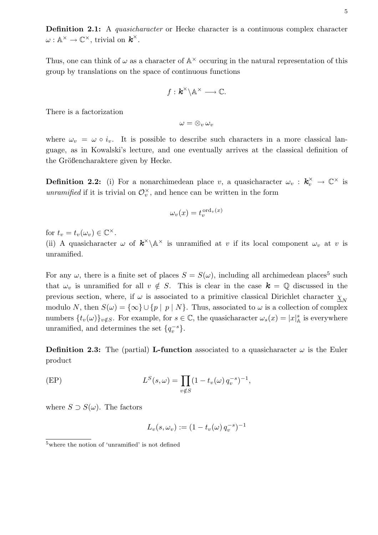Definition 2.1: A *quasicharacter* or Hecke character is a continuous complex character  $\omega: \mathbb{A}^{\times} \to \mathbb{C}^{\times}$ , trivial on  $\boldsymbol{k}^{\times}$ .

Thus, one can think of  $\omega$  as a character of  $\mathbb{A}^{\times}$  occuring in the natural representation of this group by translations on the space of continuous functions

$$
f: \mathbf{k}^{\times} \backslash \mathbb{A}^{\times} \longrightarrow \mathbb{C}.
$$

There is a factorization

 $\omega = \otimes_v \omega_v$ 

where  $\omega_v = \omega \circ i_v$ . It is possible to describe such characters in a more classical language, as in Kowalski's lecture, and one eventually arrives at the classical definition of the Größencharaktere given by Hecke.

**Definition 2.2:** (i) For a nonarchimedean place v, a quasicharacter  $\omega_v : k_v^{\times} \to \mathbb{C}^{\times}$  is unramified if it is trivial on  $\mathcal{O}_v^{\times}$ , and hence can be written in the form

$$
\omega_v(x) = t_v^{\text{ord}_v(x)}
$$

for  $t_v = t_v(\omega_v) \in \mathbb{C}^\times$ .

(ii) A quasicharacter  $\omega$  of  $\mathbf{k}^{\times} \backslash \mathbb{A}^{\times}$  is unramified at v if its local component  $\omega_v$  at v is unramified.

For any  $\omega$ , there is a finite set of places  $S = S(\omega)$ , including all archimedean places<sup>5</sup> such that  $\omega_v$  is unramified for all  $v \notin S$ . This is clear in the case  $k = \mathbb{Q}$  discussed in the previous section, where, if  $\omega$  is associated to a primitive classical Dirichlet character  $\underline{\chi}_N$ modulo N, then  $S(\omega) = {\infty} \cup {\{p \mid p \mid N\}}$ . Thus, associated to  $\omega$  is a collection of complex numbers  $\{t_v(\omega)\}_{v \notin S}$ . For example, for  $s \in \mathbb{C}$ , the quasicharacter  $\omega_s(x) = |x|_{\mathbb{A}}^s$  is everywhere unramified, and determines the set  $\{q_v^{-s}\}.$ 

**Definition 2.3:** The (partial) L-function associated to a quasicharacter  $\omega$  is the Euler product

(EP) 
$$
L^{S}(s,\omega) = \prod_{v \notin S} (1 - t_{v}(\omega) q_{v}^{-s})^{-1},
$$

where  $S \supset S(\omega)$ . The factors

$$
L_v(s, \omega_v) := (1 - t_v(\omega) q_v^{-s})^{-1}
$$

<sup>5</sup>where the notion of 'unramified' is not defined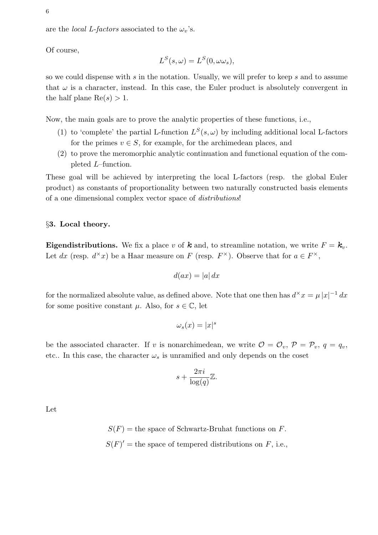are the *local L-factors* associated to the  $\omega_v$ 's.

Of course,

$$
L^{S}(s,\omega) = L^{S}(0,\omega\omega_{s}),
$$

so we could dispense with s in the notation. Usually, we will prefer to keep s and to assume that  $\omega$  is a character, instead. In this case, the Euler product is absolutely convergent in the half plane  $\text{Re}(s) > 1$ .

Now, the main goals are to prove the analytic properties of these functions, i.e.,

- (1) to 'complete' the partial L-function  $L^{S}(s,\omega)$  by including additional local L-factors for the primes  $v \in S$ , for example, for the archimedean places, and
- (2) to prove the meromorphic analytic continuation and functional equation of the completed L–function.

These goal will be achieved by interpreting the local L-factors (resp. the global Euler product) as constants of proportionality between two naturally constructed basis elements of a one dimensional complex vector space of distributions!

# §3. Local theory.

**Eigendistributions.** We fix a place v of **k** and, to streamline notation, we write  $F = k_v$ . Let dx (resp.  $d^{\times}x$ ) be a Haar measure on F (resp.  $F^{\times}$ ). Observe that for  $a \in F^{\times}$ ,

$$
d(ax) = |a| \, dx
$$

for the normalized absolute value, as defined above. Note that one then has  $d^{\times} x = \mu |x|^{-1} dx$ for some positive constant  $\mu$ . Also, for  $s \in \mathbb{C}$ , let

$$
\omega_s(x) = |x|^s
$$

be the associated character. If v is nonarchimedean, we write  $\mathcal{O} = \mathcal{O}_v$ ,  $\mathcal{P} = \mathcal{P}_v$ ,  $q = q_v$ , etc.. In this case, the character  $\omega_s$  is unramified and only depends on the coset

$$
s + \frac{2\pi i}{\log(q)}\mathbb{Z}.
$$

Let

 $S(F)$  = the space of Schwartz-Bruhat functions on F.  $S(F)'$  = the space of tempered distributions on F, i.e.,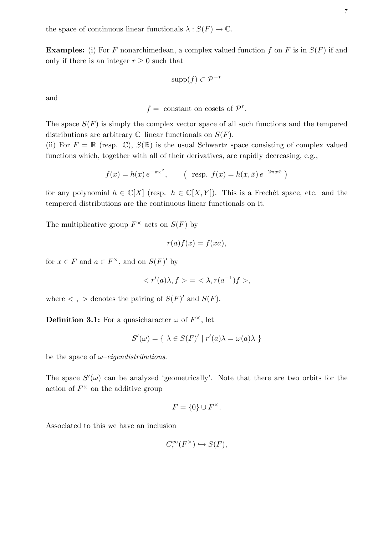the space of continuous linear functionals  $\lambda : S(F) \to \mathbb{C}$ .

**Examples:** (i) For F nonarchimedean, a complex valued function f on F is in  $S(F)$  if and only if there is an integer  $r \geq 0$  such that

$$
\operatorname{supp}(f) \subset \mathcal{P}^{-r}
$$

and

 $f =$  constant on cosets of  $\mathcal{P}^r$ .

The space  $S(F)$  is simply the complex vector space of all such functions and the tempered distributions are arbitrary  $\mathbb{C}$ –linear functionals on  $S(F)$ .

(ii) For  $F = \mathbb{R}$  (resp. C),  $S(\mathbb{R})$  is the usual Schwartz space consisting of complex valued functions which, together with all of their derivatives, are rapidly decreasing, e.g.,

$$
f(x) = h(x) e^{-\pi x^2}
$$
, ( resp.  $f(x) = h(x, \bar{x}) e^{-2\pi x \bar{x}}$ )

for any polynomial  $h \in \mathbb{C}[X]$  (resp.  $h \in \mathbb{C}[X, Y]$ ). This is a Frechet space, etc. and the tempered distributions are the continuous linear functionals on it.

The multiplicative group  $F^{\times}$  acts on  $S(F)$  by

$$
r(a)f(x) = f(xa),
$$

for  $x \in F$  and  $a \in F^{\times}$ , and on  $S(F)'$  by

$$
\langle r'(a)\lambda, f \rangle = \langle \lambda, r(a^{-1})f \rangle,
$$

where  $\langle , \rangle$  denotes the pairing of  $S(F)'$  and  $S(F)$ .

**Definition 3.1:** For a quasicharacter  $\omega$  of  $F^{\times}$ , let

$$
S'(\omega) = \{ \lambda \in S(F)' \mid r'(a)\lambda = \omega(a)\lambda \}
$$

be the space of  $\omega$ –eigendistributions.

The space  $S'(\omega)$  can be analyzed 'geometrically'. Note that there are two orbits for the action of  $F^{\times}$  on the additive group

$$
F = \{0\} \cup F^{\times}.
$$

Associated to this we have an inclusion

$$
C_c^{\infty}(F^{\times}) \hookrightarrow S(F),
$$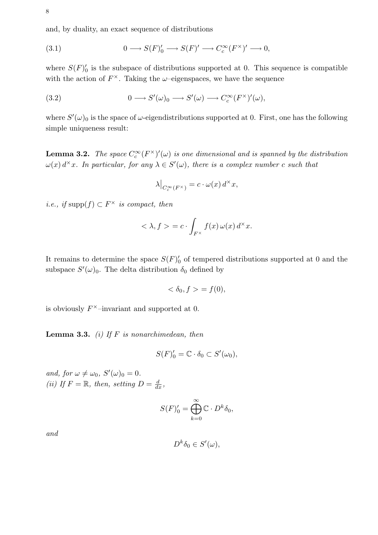and, by duality, an exact sequence of distributions

(3.1) 
$$
0 \longrightarrow S(F)'_0 \longrightarrow S(F)' \longrightarrow C_c^{\infty}(F^{\times})' \longrightarrow 0,
$$

where  $S(F)_{0}'$  is the subspace of distributions supported at 0. This sequence is compatible with the action of  $F^{\times}$ . Taking the  $\omega$ -eigenspaces, we have the sequence

(3.2) 
$$
0 \longrightarrow S'(\omega)_0 \longrightarrow S'(\omega) \longrightarrow C_c^{\infty}(F^{\times})'(\omega),
$$

where  $S'(\omega)_0$  is the space of  $\omega$ -eigendistributions supported at 0. First, one has the following simple uniqueness result:

**Lemma 3.2.** The space  $C_c^{\infty}(F^{\times})'(\omega)$  is one dimensional and is spanned by the distribution  $\omega(x) d^{\times}x$ . In particular, for any  $\lambda \in S'(\omega)$ , there is a complex number c such that

$$
\lambda\big|_{C_c^\infty(F^\times)} = c \cdot \omega(x) d^\times x,
$$

*i.e.*, *if* supp $(f) \subset F^{\times}$  *is compact, then* 

$$
\langle \lambda, f \rangle = c \cdot \int_{F^{\times}} f(x) \, \omega(x) \, d^{\times} x.
$$

It remains to determine the space  $S(F)'_0$  of tempered distributions supported at 0 and the subspace  $S'(\omega)_0$ . The delta distribution  $\delta_0$  defined by

$$
\langle \delta_0, f \rangle = f(0),
$$

is obviously  $F^{\times}$ -invariant and supported at 0.

**Lemma 3.3.** (i) If  $F$  is nonarchimedean, then

$$
S(F)'_0 = \mathbb{C} \cdot \delta_0 \subset S'(\omega_0),
$$

and, for  $\omega \neq \omega_0$ ,  $S'(\omega)_0 = 0$ . (ii) If  $F = \mathbb{R}$ , then, setting  $D = \frac{d}{dx}$ ,

$$
S(F)'_0 = \bigoplus_{k=0}^{\infty} \mathbb{C} \cdot D^k \delta_0,
$$

and

$$
D^k \delta_0 \in S'(\omega),
$$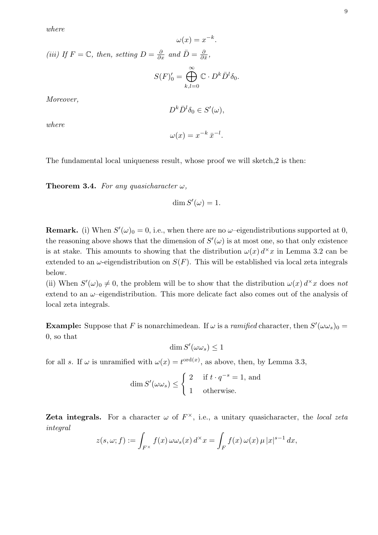where

$$
\omega(x) = x^{-k}.
$$

(iii) If  $F = \mathbb{C}$ , then, setting  $D = \frac{\partial}{\partial x}$  and  $\bar{D} = \frac{\partial}{\partial \bar{x}}$  $\frac{\partial}{\partial \bar{x}},$ 

$$
S(F)'_0 = \bigoplus_{k,l=0}^{\infty} \mathbb{C} \cdot D^k \bar{D}^l \delta_0.
$$

Moreover,

$$
D^k \bar{D}^l \delta_0 \in S'(\omega),
$$

where

$$
\omega(x) = x^{-k} \,\bar{x}^{-l}.
$$

The fundamental local uniqueness result, whose proof we will sketch,2 is then:

**Theorem 3.4.** For any quasicharacter  $\omega$ ,

$$
\dim S'(\omega) = 1.
$$

**Remark.** (i) When  $S'(\omega)_0 = 0$ , i.e., when there are no  $\omega$ -eigendistributions supported at 0, the reasoning above shows that the dimension of  $S'(\omega)$  is at most one, so that only existence is at stake. This amounts to showing that the distribution  $\omega(x) d^{\times} x$  in Lemma 3.2 can be extended to an  $\omega$ -eigendistribution on  $S(F)$ . This will be established via local zeta integrals below.

(ii) When  $S'(\omega)_0 \neq 0$ , the problem will be to show that the distribution  $\omega(x) d^{\times}x$  does not extend to an  $\omega$ -eigendistribution. This more delicate fact also comes out of the analysis of local zeta integrals.

**Example:** Suppose that F is nonarchimedean. If  $\omega$  is a *ramified* character, then  $S'(\omega \omega_s)_0 =$ 0, so that

$$
\dim S'(\omega \omega_s) \leq 1
$$

for all s. If  $\omega$  is unramified with  $\omega(x) = t^{\text{ord}(x)}$ , as above, then, by Lemma 3.3,

$$
\dim S'(\omega \omega_s) \le \begin{cases} 2 & \text{if } t \cdot q^{-s} = 1, \text{ and} \\ 1 & \text{otherwise.} \end{cases}
$$

**Zeta integrals.** For a character  $\omega$  of  $F^{\times}$ , i.e., a unitary quasicharacter, the local zeta integral

$$
z(s,\omega;f) := \int_{F^\times} f(x) \,\omega \omega_s(x) \, d^\times x = \int_F f(x) \,\omega(x) \,\mu \, |x|^{s-1} \, dx,
$$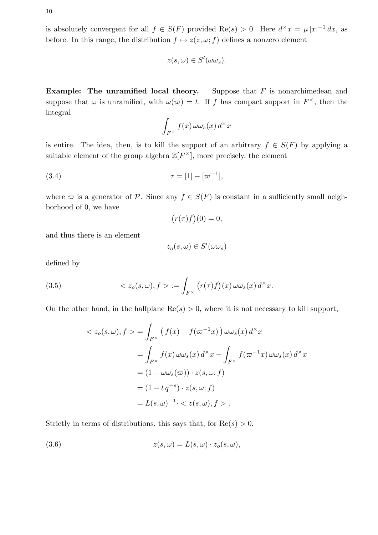is absolutely convergent for all  $f \in S(F)$  provided  $\text{Re}(s) > 0$ . Here  $d^{\times} x = \mu |x|^{-1} dx$ , as before. In this range, the distribution  $f \mapsto z(z, \omega; f)$  defines a nonzero element

$$
z(s,\omega)\in S'(\omega\omega_s).
$$

**Example:** The unramified local theory. Suppose that  $F$  is nonarchimedean and suppose that  $\omega$  is unramified, with  $\omega(\varpi) = t$ . If f has compact support in  $F^{\times}$ , then the integral

$$
\int_{F^\times} f(x) \,\omega \omega_s(x) \, d^\times x
$$

is entire. The idea, then, is to kill the support of an arbitrary  $f \in S(F)$  by applying a suitable element of the group algebra  $\mathbb{Z}[F^{\times}]$ , more precisely, the element

(3.4) 
$$
\tau = [1] - [\varpi^{-1}],
$$

where  $\varpi$  is a generator of P. Since any  $f \in S(F)$  is constant in a sufficiently small neighborhood of 0, we have ¡ ¢

$$
(r(\tau)f)(0) = 0,
$$

and thus there is an element

$$
z_o(s,\omega) \in S'(\omega \omega_s)
$$

defined by

(3.5) 
$$
\langle z_o(s,\omega), f \rangle := \int_{F^\times} (r(\tau)f)(x) \, \omega \omega_s(x) \, d^\times x.
$$

On the other hand, in the halfplane  $\text{Re}(s) > 0$ , where it is not necessary to kill support,

$$
\langle z_o(s,\omega), f \rangle = \int_{F^\times} \left( f(x) - f(\omega^{-1}x) \right) \omega \omega_s(x) d^\times x
$$
  
\n
$$
= \int_{F^\times} f(x) \omega \omega_s(x) d^\times x - \int_{F^\times} f(\omega^{-1}x) \omega \omega_s(x) d^\times x
$$
  
\n
$$
= (1 - \omega \omega_s(\omega)) \cdot z(s, \omega; f)
$$
  
\n
$$
= (1 - t q^{-s}) \cdot z(s, \omega; f)
$$
  
\n
$$
= L(s, \omega)^{-1} \cdot \langle z(s, \omega), f \rangle.
$$

Strictly in terms of distributions, this says that, for  $\text{Re}(s) > 0$ ,

(3.6) 
$$
z(s,\omega) = L(s,\omega) \cdot z_o(s,\omega),
$$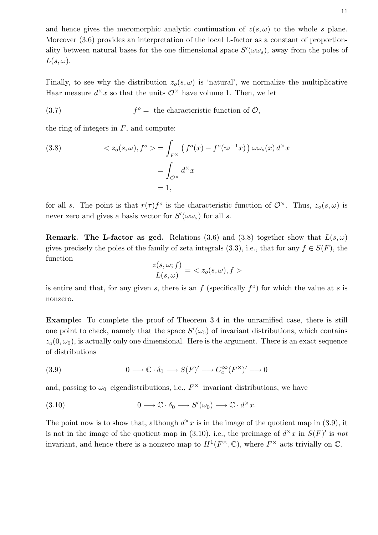and hence gives the meromorphic analytic continuation of  $z(s, \omega)$  to the whole s plane. Moreover  $(3.6)$  provides an interpretation of the local L-factor as a constant of proportionality between natural bases for the one dimensional space  $S'(\omega \omega_s)$ , away from the poles of  $L(s, \omega)$ .

Finally, to see why the distribution  $z_o(s, \omega)$  is 'natural', we normalize the multiplicative Haar measure  $d^{\times}x$  so that the units  $\mathcal{O}^{\times}$  have volume 1. Then, we let

(3.7) 
$$
f^o = \text{ the characteristic function of } \mathcal{O},
$$

the ring of integers in  $F$ , and compute:

(3.8) 
$$
\langle z_o(s, \omega), f^o \rangle = \int_{F^\times} \left( f^o(x) - f^o(\varpi^{-1}x) \right) \omega \omega_s(x) d^\times x
$$

$$
= \int_{\mathcal{O}^\times} d^\times x
$$

$$
= 1,
$$

for all s. The point is that  $r(\tau) f^{\circ}$  is the characteristic function of  $\mathcal{O}^{\times}$ . Thus,  $z_{o}(s,\omega)$  is never zero and gives a basis vector for  $S'(\omega \omega_s)$  for all s.

**Remark.** The L-factor as gcd. Relations (3.6) and (3.8) together show that  $L(s, \omega)$ gives precisely the poles of the family of zeta integrals (3.3), i.e., that for any  $f \in S(F)$ , the function

$$
\frac{z(s,\omega;f)}{L(s,\omega)} = \langle z_o(s,\omega), f \rangle
$$

is entire and that, for any given s, there is an  $f$  (specifically  $f^o$ ) for which the value at s is nonzero.

Example: To complete the proof of Theorem 3.4 in the unramified case, there is still one point to check, namely that the space  $S'(\omega_0)$  of invariant distributions, which contains  $z<sub>o</sub>(0, \omega<sub>0</sub>)$ , is actually only one dimensional. Here is the argument. There is an exact sequence of distributions

(3.9) 
$$
0 \longrightarrow \mathbb{C} \cdot \delta_0 \longrightarrow S(F)' \longrightarrow C_c^{\infty}(F^{\times})' \longrightarrow 0
$$

and, passing to  $\omega_0$ -eigendistributions, i.e.,  $F^{\times}$ -invariant distributions, we have

(3.10) 
$$
0 \longrightarrow \mathbb{C} \cdot \delta_0 \longrightarrow S'(\omega_0) \longrightarrow \mathbb{C} \cdot d^{\times}x.
$$

The point now is to show that, although  $d^{\times}x$  is in the image of the quotient map in (3.9), it is not in the image of the quotient map in (3.10), i.e., the preimage of  $d^{\times}x$  in  $S(F)'$  is not invariant, and hence there is a nonzero map to  $H^1(F^\times,\mathbb{C})$ , where  $F^\times$  acts trivially on  $\mathbb{C}$ .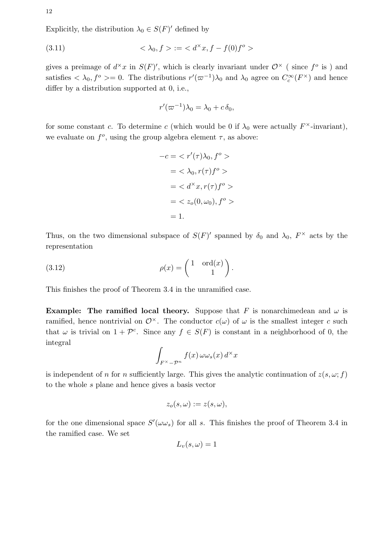Explicitly, the distribution  $\lambda_0 \in S(F)'$  defined by

(3.11) 
$$
\langle \lambda_0, f \rangle := \langle d^{\times} x, f - f(0) f^{\circ} \rangle
$$

gives a preimage of  $d^{\times}x$  in  $S(F)'$ , which is clearly invariant under  $\mathcal{O}^{\times}$  (since  $f^{\circ}$  is) and satisfies  $\langle \lambda_0, f^{\circ} \rangle = 0$ . The distributions  $r'(\varpi^{-1})\lambda_0$  and  $\lambda_0$  agree on  $C_c^{\infty}(F^{\times})$  and hence differ by a distribution supported at 0, i.e.,

$$
r'(\varpi^{-1})\lambda_0 = \lambda_0 + c\,\delta_0,
$$

for some constant c. To determine c (which would be 0 if  $\lambda_0$  were actually  $F^{\times}$ -invariant), we evaluate on  $f^o$ , using the group algebra element  $\tau$ , as above:

$$
-c = \langle r'(\tau)\lambda_0, f^o \rangle
$$
  
=  $\langle \lambda_0, r(\tau)f^o \rangle$   
=  $\langle d^\times x, r(\tau)f^o \rangle$   
=  $\langle z_o(0, \omega_0), f^o \rangle$   
= 1.

Thus, on the two dimensional subspace of  $S(F)'$  spanned by  $\delta_0$  and  $\lambda_0$ ,  $F^{\times}$  acts by the representation

(3.12) 
$$
\rho(x) = \begin{pmatrix} 1 & \text{ord}(x) \\ & 1 \end{pmatrix}.
$$

This finishes the proof of Theorem 3.4 in the unramified case.

**Example:** The ramified local theory. Suppose that F is nonarchimedean and  $\omega$  is ramified, hence nontrivial on  $\mathcal{O}^{\times}$ . The conductor  $c(\omega)$  of  $\omega$  is the smallest integer c such that  $\omega$  is trivial on  $1 + \mathcal{P}^c$ . Since any  $f \in S(F)$  is constant in a neighborhood of 0, the integral

$$
\int_{F^\times - \mathcal{P}^n} f(x) \,\omega \omega_s(x) \, d^\times x
$$

is independent of n for n sufficiently large. This gives the analytic continuation of  $z(s, \omega; f)$ to the whole s plane and hence gives a basis vector

$$
z_o(s,\omega) := z(s,\omega),
$$

for the one dimensional space  $S'(\omega \omega_s)$  for all s. This finishes the proof of Theorem 3.4 in the ramified case. We set

$$
L_v(s,\omega) = 1
$$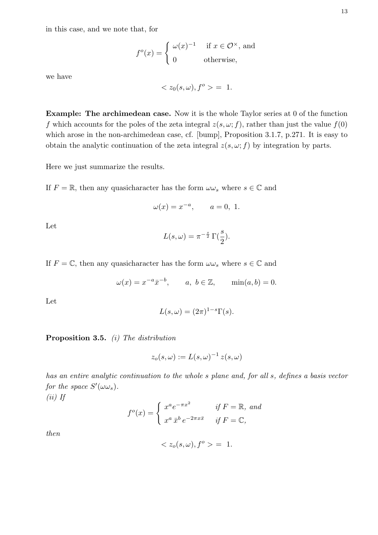in this case, and we note that, for

$$
f^{o}(x) = \begin{cases} \omega(x)^{-1} & \text{if } x \in \mathcal{O}^{\times}, \text{ and} \\ 0 & \text{otherwise}, \end{cases}
$$

we have

$$
\langle z_0(s,\omega), f^o \rangle = 1.
$$

Example: The archimedean case. Now it is the whole Taylor series at 0 of the function f which accounts for the poles of the zeta integral  $z(s, \omega; f)$ , rather than just the value  $f(0)$ which arose in the non-archimedean case, cf. [bump], Proposition 3.1.7, p.271. It is easy to obtain the analytic continuation of the zeta integral  $z(s, \omega; f)$  by integration by parts.

Here we just summarize the results.

If  $F = \mathbb{R}$ , then any quasicharacter has the form  $\omega \omega_s$  where  $s \in \mathbb{C}$  and

$$
\omega(x) = x^{-a}, \qquad a = 0, 1.
$$

Let

$$
L(s,\omega) = \pi^{-\frac{s}{2}} \Gamma(\frac{s}{2}).
$$

If  $F = \mathbb{C}$ , then any quasicharacter has the form  $\omega \omega_s$  where  $s \in \mathbb{C}$  and

$$
\omega(x) = x^{-a}\bar{x}^{-b}, \qquad a, b \in \mathbb{Z}, \qquad \min(a, b) = 0.
$$

Let

$$
L(s,\omega) = (2\pi)^{1-s} \Gamma(s).
$$

Proposition 3.5. (i) The distribution

$$
z_o(s,\omega) := L(s,\omega)^{-1} z(s,\omega)
$$

has an entire analytic continuation to the whole s plane and, for all s, defines a basis vector for the space  $S'(\omega \omega_s)$ .  $\left(\cdots\right)$   $\tau$ e

$$
(ii) \, \, \textit{If}
$$

$$
f^{o}(x) = \begin{cases} x^{a}e^{-\pi x^{2}} & \text{if } F = \mathbb{R}, \text{ and} \\ x^{a} \bar{x}^{b} e^{-2\pi x \bar{x}} & \text{if } F = \mathbb{C}, \end{cases}
$$

then

$$
\langle z_o(s,\omega), f^o \rangle = 1.
$$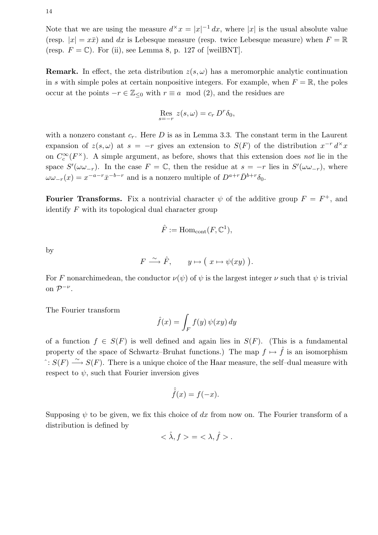14

Note that we are using the measure  $d^{\times}x = |x|^{-1} dx$ , where |x| is the usual absolute value (resp.  $|x| = x\bar{x}$ ) and dx is Lebesque measure (resp. twice Lebesque measure) when  $F = \mathbb{R}$ (resp.  $F = \mathbb{C}$ ). For (ii), see Lemma 8, p. 127 of [weilBNT].

**Remark.** In effect, the zeta distribution  $z(s, \omega)$  has a meromorphic analytic continuation in s with simple poles at certain nonpositive integers. For example, when  $F = \mathbb{R}$ , the poles occur at the points  $-r \in \mathbb{Z}_{\leq 0}$  with  $r \equiv a \mod (2)$ , and the residues are

$$
\operatorname{Res}_{s=-r} z(s,\omega) = c_r D^r \delta_0,
$$

with a nonzero constant  $c_r$ . Here D is as in Lemma 3.3. The constant term in the Laurent expansion of  $z(s,\omega)$  at  $s = -r$  gives an extension to  $S(F)$  of the distribution  $x^{-r} d^x x$ on  $C_c^{\infty}(F^{\times})$ . A simple argument, as before, shows that this extension does not lie in the space  $S'(\omega \omega_{-r})$ . In the case  $F = \mathbb{C}$ , then the residue at  $s = -r$  lies in  $S'(\omega \omega_{-r})$ , where  $\omega \omega_{-r}(x) = x^{-a-r} \bar{x}^{-b-r}$  and is a nonzero multiple of  $D^{a+r} \bar{D}^{b+r} \delta_0$ .

Fourier Transforms. Fix a nontrivial character  $\psi$  of the additive group  $F = F^+$ , and identify  $F$  with its topological dual character group

$$
\hat{F} := \mathrm{Hom}_{\mathrm{cont}}(F, \mathbb{C}^1),
$$

by

$$
F \stackrel{\sim}{\longrightarrow} \hat{F}, \qquad y \mapsto (x \mapsto \psi(xy)).
$$

For F nonarchimedean, the conductor  $\nu(\psi)$  of  $\psi$  is the largest integer  $\nu$  such that  $\psi$  is trivial on  $\mathcal{P}^{-\nu}$ .

The Fourier transform

$$
\hat{f}(x) = \int_{F} f(y) \, \psi(xy) \, dy
$$

of a function  $f \in S(F)$  is well defined and again lies in  $S(F)$ . (This is a fundamental property of the space of Schwartz–Bruhat functions.) The map  $f \mapsto \hat{f}$  is an isomorphism  $\hat{\cdot}: S(F)$  →  $S(F)$ . There is a unique choice of the Haar measure, the self-dual measure with respect to  $\psi$ , such that Fourier inversion gives

$$
\hat{f}(x) = f(-x).
$$

Supposing  $\psi$  to be given, we fix this choice of dx from now on. The Fourier transform of a distribution is defined by

$$
<\hat\lambda,f> = <\lambda,\hat f>.
$$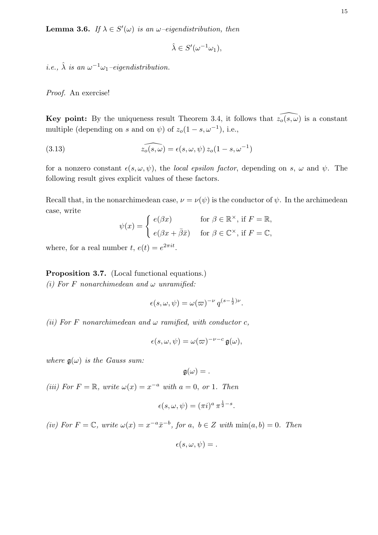**Lemma 3.6.** If  $\lambda \in S'(\omega)$  is an  $\omega$ -eigendistribution, then

$$
\hat{\lambda} \in S'(\omega^{-1}\omega_1),
$$

*i.e.*,  $\hat{\lambda}$  *is an*  $\omega^{-1}\omega_1$ -eigendistribution.

Proof. An exercise!

Key point: By the uniqueness result Theorem 3.4, it follows that  $\widehat{z_0(s, \omega)}$  is a constant multiple (depending on s and on  $\psi$ ) of  $z_o(1-s, \omega^{-1})$ , i.e.,

(3.13) 
$$
\widehat{z_o(s,\omega)} = \epsilon(s,\omega,\psi) z_o(1-s,\omega^{-1})
$$

for a nonzero constant  $\epsilon(s, \omega, \psi)$ , the *local epsilon factor*, depending on s,  $\omega$  and  $\psi$ . The following result gives explicit values of these factors.

Recall that, in the nonarchimedean case,  $\nu = \nu(\psi)$  is the conductor of  $\psi$ . In the archimedean case, write

$$
\psi(x) = \begin{cases} e(\beta x) & \text{for } \beta \in \mathbb{R}^{\times}, \text{ if } F = \mathbb{R}, \\ e(\beta x + \bar{\beta}\bar{x}) & \text{for } \beta \in \mathbb{C}^{\times}, \text{ if } F = \mathbb{C}, \end{cases}
$$

where, for a real number  $t, e(t) = e^{2\pi i t}$ .

Proposition 3.7. (Local functional equations.)

(i) For F nonarchimedean and  $\omega$  unramified:

$$
\epsilon(s,\omega,\psi) = \omega(\varpi)^{-\nu} q^{(s-\frac{1}{2})\nu}.
$$

(ii) For F nonarchimedean and  $\omega$  ramified, with conductor c,

$$
\epsilon(s,\omega,\psi)=\omega(\varpi)^{-\nu-c}\,\mathfrak{g}(\omega),
$$

where  $\mathfrak{g}(\omega)$  is the Gauss sum:

$$
\mathfrak{g}(\omega) =.
$$

(iii) For  $F = \mathbb{R}$ , write  $\omega(x) = x^{-a}$  with  $a = 0$ , or 1. Then

$$
\epsilon(s,\omega,\psi)=(\pi i)^a\,\pi^{\frac{1}{2}-s}.
$$

(iv) For  $F = \mathbb{C}$ , write  $\omega(x) = x^{-a} \bar{x}^{-b}$ , for a,  $b \in \mathbb{Z}$  with  $\min(a, b) = 0$ . Then

$$
\epsilon(s,\omega,\psi)=.
$$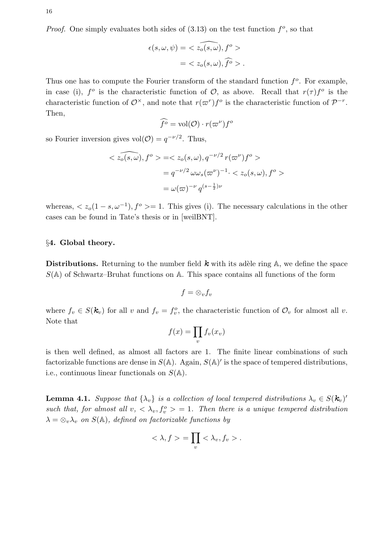*Proof.* One simply evaluates both sides of  $(3.13)$  on the test function  $f^o$ , so that

$$
\epsilon(s,\omega,\psi) = \langle \widehat{z_o(s,\omega)}, f^o \rangle
$$
  
=  $\langle z_o(s,\omega), \widehat{f^o} \rangle$ .

Thus one has to compute the Fourier transform of the standard function  $f^o$ . For example, in case (i),  $f^{\circ}$  is the characteristic function of  $\mathcal{O}$ , as above. Recall that  $r(\tau)f^{\circ}$  is the characteristic function of  $\mathcal{O}^{\times}$ , and note that  $r(\varpi^r) f^{\circ}$  is the characteristic function of  $\mathcal{P}^{-r}$ . Then,

$$
\widehat{f^o} = \text{vol}(\mathcal{O}) \cdot r(\varpi^\nu) f^o
$$

so Fourier inversion gives  $vol(\mathcal{O}) = q^{-\nu/2}$ . Thus,

$$
\langle z_o(s,\omega), f^o \rangle = \langle z_o(s,\omega), q^{-\nu/2} r(\omega^{\nu}) f^o \rangle
$$
  
=  $q^{-\nu/2} \omega \omega_s (\omega^{\nu})^{-1} \cdot \langle z_o(s,\omega), f^o \rangle$   
=  $\omega(\omega)^{-\nu} q^{(s-\frac{1}{2})\nu}$ 

whereas,  $\langle z_o(1-s,\omega^{-1}), f^o \rangle = 1$ . This gives (i). The necessary calculations in the other cases can be found in Tate's thesis or in [weilBNT].

### §4. Global theory.

**Distributions.** Returning to the number field  $k$  with its adèle ring  $\mathbb{A}$ , we define the space  $S(A)$  of Schwartz–Bruhat functions on A. This space contains all functions of the form

$$
f=\otimes_v f_v
$$

where  $f_v \in S(\mathbf{k}_v)$  for all v and  $f_v = f_v^o$ , the characteristic function of  $\mathcal{O}_v$  for almost all v. Note that

$$
f(x) = \prod_{v} f_v(x_v)
$$

is then well defined, as almost all factors are 1. The finite linear combinations of such factorizable functions are dense in  $S(\mathbb{A})$ . Again,  $S(\mathbb{A})'$  is the space of tempered distributions, i.e., continuous linear functionals on  $S(\mathbb{A})$ .

**Lemma 4.1.** Suppose that  $\{\lambda_v\}$  is a collection of local tempered distributions  $\lambda_v \in S(\mathbf{k}_v)'$ such that, for almost all  $v, \langle \lambda_v, f_v^o \rangle = 1$ . Then there is a unique tempered distribution  $\lambda = \otimes_v \lambda_v$  on  $S(\mathbb{A})$ , defined on factorizable functions by

$$
\langle \lambda, f \rangle = \prod_{v} \langle \lambda_v, f_v \rangle.
$$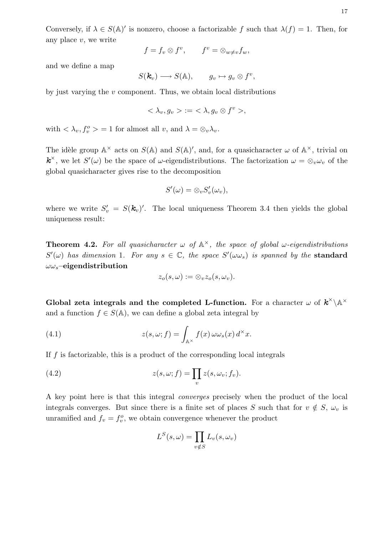Conversely, if  $\lambda \in S(\mathbb{A})'$  is nonzero, choose a factorizable f such that  $\lambda(f) = 1$ . Then, for any place  $v$ , we write

$$
f = f_v \otimes f^v, \qquad f^v = \otimes_{w \neq v} f_w,
$$

and we define a map

$$
S(\mathbf{k}_v) \longrightarrow S(\mathbb{A}), \qquad g_v \mapsto g_v \otimes f^v,
$$

by just varying the  $v$  component. Thus, we obtain local distributions

$$
\langle \lambda_v, g_v \rangle := \langle \lambda, g_v \otimes f^v \rangle,
$$

with  $\langle \lambda_v, f_v^o \rangle = 1$  for almost all v, and  $\lambda = \otimes_v \lambda_v$ .

The idèle group  $\mathbb{A}^{\times}$  acts on  $S(\mathbb{A})$  and  $S(\mathbb{A})'$ , and, for a quasicharacter  $\omega$  of  $\mathbb{A}^{\times}$ , trivial on  $\mathbf{k}^{\times}$ , we let  $S'(\omega)$  be the space of  $\omega$ -eigendistributions. The factorization  $\omega = \otimes_{v} \omega_{v}$  of the global quasicharacter gives rise to the decomposition

$$
S'(\omega) = \otimes_v S'_v(\omega_v),
$$

where we write  $S'_v = S(\mathbf{k}_v)'$ . The local uniqueness Theorem 3.4 then yields the global uniqueness result:

**Theorem 4.2.** For all quasicharacter  $\omega$  of  $\mathbb{A}^{\times}$ , the space of global  $\omega$ -eigendistributions  $S'(\omega)$  has dimension 1. For any  $s \in \mathbb{C}$ , the space  $S'(\omega \omega_s)$  is spanned by the standard  $\omega\omega_s$ -eigendistribution

$$
z_o(s,\omega):=\otimes_v z_o(s,\omega_v).
$$

Global zeta integrals and the completed L-function. For a character  $\omega$  of  $\mathbf{k}^{\times} \backslash \mathbb{A}^{\times}$ and a function  $f \in S(\mathbb{A})$ , we can define a global zeta integral by

(4.1) 
$$
z(s,\omega;f) = \int_{\mathbb{A}^{\times}} f(x) \,\omega \omega_s(x) \, d^{\times}x.
$$

If  $f$  is factorizable, this is a product of the corresponding local integrals

(4.2) 
$$
z(s,\omega;f) = \prod_{v} z(s,\omega_v;f_v).
$$

A key point here is that this integral converges precisely when the product of the local integrals converges. But since there is a finite set of places S such that for  $v \notin S$ ,  $\omega_v$  is unramified and  $f_v = f_v^o$ , we obtain convergence whenever the product

$$
L^{S}(s,\omega) = \prod_{v \notin S} L_{v}(s,\omega_{v})
$$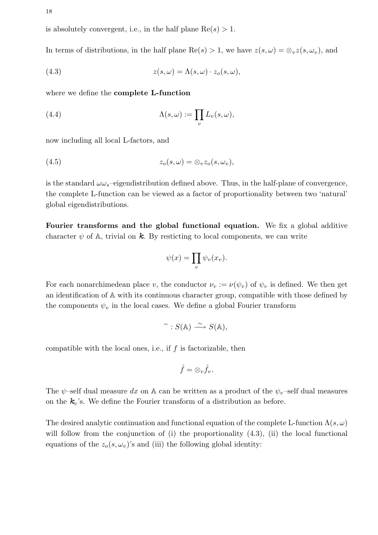is absolutely convergent, i.e., in the half plane  $Re(s) > 1$ .

In terms of distributions, in the half plane Re(s) > 1, we have  $z(s, \omega) = \otimes_v z(s, \omega_v)$ , and

(4.3) 
$$
z(s,\omega) = \Lambda(s,\omega) \cdot z_o(s,\omega),
$$

where we define the complete L-function

(4.4) 
$$
\Lambda(s,\omega) := \prod_{v} L_v(s,\omega),
$$

now including all local L-factors, and

$$
(4.5) \t\t\t z_o(s,\omega) = \otimes_v z_o(s,\omega_v),
$$

is the standard  $\omega \omega_s$ -eigendistribution defined above. Thus, in the half-plane of convergence, the complete L-function can be viewed as a factor of proportionality between two 'natural' global eigendistributions.

Fourier transforms and the global functional equation. We fix a global additive character  $\psi$  of  $\mathbb{A}$ , trivial on  $\mathbf{k}$ . By resticting to local components, we can write

$$
\psi(x) = \prod_v \psi_v(x_v).
$$

For each nonarchimedean place v, the conductor  $\nu_v := \nu(\psi_v)$  of  $\psi_v$  is defined. We then get an identification of A with its continuous character group, compatible with those defined by the components  $\psi_v$  in the local cases. We define a global Fourier transform

$$
\widehat{\phantom{B}}:S(\mathbb{A})\stackrel{\sim}{\longrightarrow}S(\mathbb{A}),
$$

compatible with the local ones, i.e., if  $f$  is factorizable, then

$$
\hat{f}=\otimes_v \hat{f}_v.
$$

The  $\psi$ -self dual measure dx on A can be written as a product of the  $\psi_v$ -self dual measures on the  $k_v$ 's. We define the Fourier transform of a distribution as before.

The desired analytic continuation and functional equation of the complete L-function  $\Lambda(s,\omega)$ will follow from the conjunction of (i) the proportionality  $(4.3)$ , (ii) the local functional equations of the  $z_o(s, \omega_v)$ 's and (iii) the following global identity: